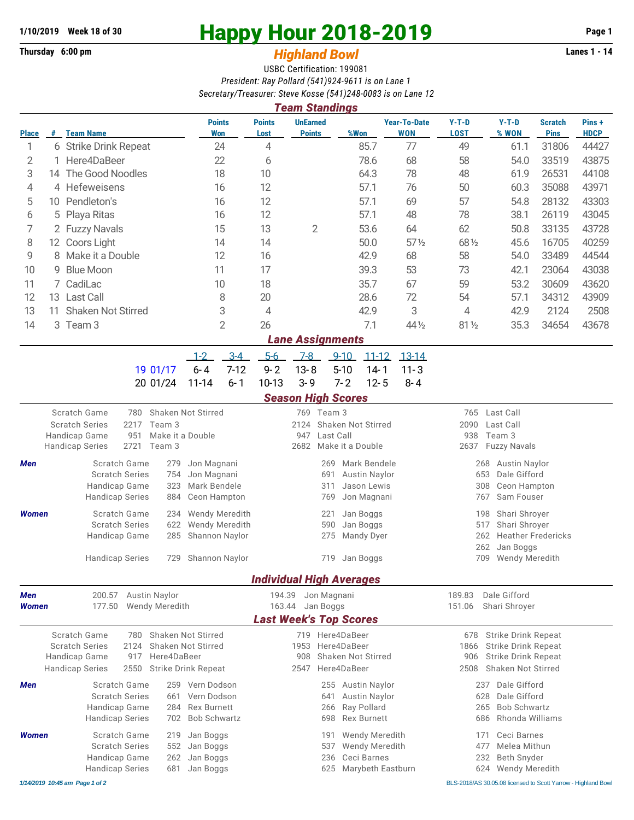## **1/10/2019 Week 18 of 30 Happy Hour 2018-2019 Page 1**

## **Thursday 6:00 pm** *Highland Bowl* **Lanes 1 - 14**

USBC Certification: 199081 *President: Ray Pollard (541)924-9611 is on Lane 1 Secretary/Treasurer: Steve Kosse (541)248-0083 is on Lane 12*

| 0.000 10 0.000 0.000 0.000 0.000 0.000 0.000 1000 0.000 0.000 0.000 0.000 0.000 0.000 0.000 0.000 0.000 0.000<br><b>Team Standings</b>                                                                         |                          |                                         |                                                |                                                      |                       |                                                                                            |                                   |                                                                    |                 |                                                                                                |                                                                                                                                            |                  |                               |                       |  |  |
|----------------------------------------------------------------------------------------------------------------------------------------------------------------------------------------------------------------|--------------------------|-----------------------------------------|------------------------------------------------|------------------------------------------------------|-----------------------|--------------------------------------------------------------------------------------------|-----------------------------------|--------------------------------------------------------------------|-----------------|------------------------------------------------------------------------------------------------|--------------------------------------------------------------------------------------------------------------------------------------------|------------------|-------------------------------|-----------------------|--|--|
| <b>Place</b>                                                                                                                                                                                                   |                          | # Team Name                             |                                                | <b>Points</b><br><b>Won</b>                          |                       | <b>Points</b><br>Lost                                                                      | <b>UnEarned</b><br><b>Points</b>  |                                                                    | %Won            | <b>Year-To-Date</b><br><b>WON</b>                                                              | $Y-T-D$<br><b>LOST</b>                                                                                                                     | $Y-T-D$<br>% WON | <b>Scratch</b><br><b>Pins</b> | Pins +<br><b>HDCP</b> |  |  |
| 1                                                                                                                                                                                                              |                          | 6 Strike Drink Repeat                   |                                                |                                                      | 24                    | 4                                                                                          |                                   |                                                                    | 85.7            | 77                                                                                             | 49                                                                                                                                         | 61.1             | 31806                         | 44427                 |  |  |
| 2                                                                                                                                                                                                              |                          | Here4DaBeer                             |                                                | 22                                                   |                       | 6                                                                                          |                                   |                                                                    | 78.6            | 68                                                                                             | 58                                                                                                                                         | 54.0             | 33519                         | 43875                 |  |  |
| 3                                                                                                                                                                                                              | 14 The Good Noodles      |                                         | 18                                             |                                                      | 10                    |                                                                                            |                                   | 64.3                                                               | 78              | 48                                                                                             | 61.9                                                                                                                                       | 26531            | 44108                         |                       |  |  |
| 4                                                                                                                                                                                                              | 4 Hefeweisens            |                                         | 16                                             |                                                      | 12                    |                                                                                            |                                   | 57.1                                                               | 76              | 50                                                                                             | 60.3                                                                                                                                       | 35088            | 43971                         |                       |  |  |
| 5                                                                                                                                                                                                              | 10 Pendleton's           |                                         | 16                                             |                                                      | 12                    |                                                                                            |                                   | 57.1                                                               | 69              | 57                                                                                             | 54.8                                                                                                                                       | 28132            | 43303                         |                       |  |  |
| 6                                                                                                                                                                                                              | Playa Ritas<br>5         |                                         | 16                                             |                                                      | 12                    |                                                                                            |                                   | 57.1                                                               | 48              | 78                                                                                             | 38.1                                                                                                                                       | 26119            | 43045                         |                       |  |  |
| 7                                                                                                                                                                                                              | 2 Fuzzy Navals           |                                         |                                                | 15                                                   |                       | 13                                                                                         | 2                                 |                                                                    | 53.6            | 64                                                                                             | 62                                                                                                                                         | 50.8             | 33135                         | 43728                 |  |  |
| 8                                                                                                                                                                                                              | 12 Coors Light           |                                         | 14                                             |                                                      | 14                    |                                                                                            |                                   | 50.0                                                               | $57\frac{1}{2}$ | 68 1/2                                                                                         | 45.6                                                                                                                                       | 16705            | 40259                         |                       |  |  |
| 9                                                                                                                                                                                                              | Make it a Double<br>8    |                                         | 12                                             |                                                      | 16                    |                                                                                            |                                   | 42.9                                                               | 68              | 58                                                                                             | 54.0                                                                                                                                       | 33489            | 44544                         |                       |  |  |
| 10                                                                                                                                                                                                             | 9                        | <b>Blue Moon</b>                        |                                                | 11                                                   |                       | 17                                                                                         |                                   |                                                                    | 39.3            | 53                                                                                             | 73                                                                                                                                         | 42.1             | 23064                         | 43038                 |  |  |
| 11                                                                                                                                                                                                             |                          | 7 CadiLac                               |                                                |                                                      | 10                    |                                                                                            |                                   |                                                                    | 35.7            | 67                                                                                             | 59                                                                                                                                         | 53.2             | 30609                         | 43620                 |  |  |
| 12                                                                                                                                                                                                             |                          | 13 Last Call                            |                                                |                                                      | 8                     | 20                                                                                         |                                   |                                                                    | 28.6            | 72                                                                                             | 54                                                                                                                                         | 57.1             | 34312                         | 43909                 |  |  |
| 13                                                                                                                                                                                                             | Shaken Not Stirred<br>11 |                                         |                                                | 3                                                    |                       | 4                                                                                          |                                   |                                                                    | 42.9            | 3                                                                                              | 4                                                                                                                                          | 42.9             | 2124                          | 2508                  |  |  |
| 14                                                                                                                                                                                                             |                          | 3 Team 3                                |                                                |                                                      | $\overline{2}$        | 26                                                                                         |                                   |                                                                    | 7.1             | 44 1/2                                                                                         | $81\frac{1}{2}$                                                                                                                            | 35.3             | 34654                         | 43678                 |  |  |
|                                                                                                                                                                                                                |                          |                                         |                                                |                                                      |                       |                                                                                            | <b>Lane Assignments</b>           |                                                                    |                 |                                                                                                |                                                                                                                                            |                  |                               |                       |  |  |
|                                                                                                                                                                                                                |                          |                                         |                                                | $1 - 2$                                              | $3 - 4$               | $5-6$                                                                                      | $7-8$                             | $9 - 10$                                                           | $11 - 12$       | $13 - 14$                                                                                      |                                                                                                                                            |                  |                               |                       |  |  |
|                                                                                                                                                                                                                |                          | 19 01/17                                |                                                | $6 - 4$                                              | $7-12$                | $9 - 2$                                                                                    | $13 - 8$                          | $5 - 10$                                                           | $14 - 1$        | $11 - 3$                                                                                       |                                                                                                                                            |                  |                               |                       |  |  |
|                                                                                                                                                                                                                |                          | 20 01/24                                |                                                | $11 - 14$                                            | $6 - 1$               | $10-13$                                                                                    | $3 - 9$                           | $7 - 2$                                                            | $12 - 5$        | $8 - 4$                                                                                        |                                                                                                                                            |                  |                               |                       |  |  |
|                                                                                                                                                                                                                |                          |                                         |                                                |                                                      |                       |                                                                                            | <b>Season High Scores</b>         |                                                                    |                 |                                                                                                |                                                                                                                                            |                  |                               |                       |  |  |
| Scratch Game<br>Shaken Not Stirred<br>780<br>2217<br><b>Scratch Series</b><br>Team 3<br>Make it a Double<br>Handicap Game<br>951<br>2721<br><b>Handicap Series</b><br>Team 3                                   |                          |                                         |                                                |                                                      |                       |                                                                                            | 769 Team 3<br>2124<br>947<br>2682 | Shaken Not Stirred<br>Last Call<br>Make it a Double                |                 |                                                                                                | 765 Last Call<br>2090<br>Last Call<br>Team 3<br>938<br>2637<br><b>Fuzzy Navals</b>                                                         |                  |                               |                       |  |  |
| Scratch Game<br>Jon Magnani<br>Men<br>279<br><b>Scratch Series</b><br>Jon Magnani<br>754<br>Handicap Game<br>323<br>Mark Bendele<br>Ceon Hampton<br><b>Handicap Series</b><br>884                              |                          |                                         |                                                |                                                      |                       |                                                                                            | 269<br>691<br>311<br>769          | Mark Bendele<br><b>Austin Naylor</b><br>Jason Lewis<br>Jon Magnani |                 | <b>Austin Naylor</b><br>268<br>653<br>Dale Gifford<br>Ceon Hampton<br>308<br>Sam Fouser<br>767 |                                                                                                                                            |                  |                               |                       |  |  |
| <b>Women</b>                                                                                                                                                                                                   |                          | Scratch Game                            | Wendy Meredith<br>234                          |                                                      |                       |                                                                                            | 221                               | Jan Boggs                                                          |                 | 198                                                                                            | Shari Shroyer                                                                                                                              |                  |                               |                       |  |  |
|                                                                                                                                                                                                                |                          | <b>Scratch Series</b>                   | Wendy Meredith<br>622                          |                                                      |                       | 590<br>Jan Boggs                                                                           |                                   |                                                                    |                 |                                                                                                | Shari Shroyer<br>517                                                                                                                       |                  |                               |                       |  |  |
|                                                                                                                                                                                                                |                          | Handicap Game<br><b>Handicap Series</b> | 285<br>Shannon Naylor<br>729<br>Shannon Naylor |                                                      |                       |                                                                                            | 275<br>719 Jan Boggs              | Mandy Dyer                                                         |                 | <b>Heather Fredericks</b><br>262<br>262<br>Jan Boggs<br>709 Wendy Meredith                     |                                                                                                                                            |                  |                               |                       |  |  |
|                                                                                                                                                                                                                |                          |                                         |                                                |                                                      |                       |                                                                                            |                                   |                                                                    |                 |                                                                                                |                                                                                                                                            |                  |                               |                       |  |  |
|                                                                                                                                                                                                                |                          |                                         |                                                |                                                      |                       |                                                                                            | <b>Individual High Averages</b>   |                                                                    |                 |                                                                                                |                                                                                                                                            |                  |                               |                       |  |  |
| 200.57<br><b>Austin Naylor</b><br>Men                                                                                                                                                                          |                          |                                         |                                                |                                                      | 194.39<br>Jon Magnani |                                                                                            |                                   |                                                                    |                 |                                                                                                | Dale Gifford<br>189.83<br>Shari Shroyer                                                                                                    |                  |                               |                       |  |  |
| Wendy Meredith<br>177.50<br><b>Women</b>                                                                                                                                                                       |                          |                                         |                                                | 163.44<br>Jan Boggs<br><b>Last Week's Top Scores</b> |                       |                                                                                            |                                   |                                                                    | 151.06          |                                                                                                |                                                                                                                                            |                  |                               |                       |  |  |
|                                                                                                                                                                                                                |                          |                                         |                                                |                                                      |                       |                                                                                            |                                   |                                                                    |                 |                                                                                                |                                                                                                                                            |                  |                               |                       |  |  |
| Scratch Game<br><b>Shaken Not Stirred</b><br>780<br><b>Scratch Series</b><br>2124<br>Shaken Not Stirred<br>Handicap Game<br>Here4DaBeer<br>917<br><b>Handicap Series</b><br>2550<br><b>Strike Drink Repeat</b> |                          |                                         |                                                |                                                      |                       | 719 Here4DaBeer<br>Here4DaBeer<br>1953<br>Shaken Not Stirred<br>908<br>Here4DaBeer<br>2547 |                                   |                                                                    |                 |                                                                                                | <b>Strike Drink Repeat</b><br>678<br><b>Strike Drink Repeat</b><br>1866<br>906<br><b>Strike Drink Repeat</b><br>Shaken Not Stirred<br>2508 |                  |                               |                       |  |  |
| Men                                                                                                                                                                                                            |                          | Scratch Game<br><b>Scratch Series</b>   | 259 Vern Dodson<br>661 Vern Dodson             |                                                      |                       |                                                                                            |                                   | 255 Austin Naylor<br>641 Austin Naylor                             |                 |                                                                                                | Dale Gifford<br>237<br>628 Dale Gifford                                                                                                    |                  |                               |                       |  |  |

Handicap Game 284 Rex Burnett 266 Ray Pollard 265 Bob Schwartz

*1/14/2019 10:45 am Page 1 of 2* BLS-2018/AS 30.05.08 licensed to Scott Yarrow - Highland Bowl